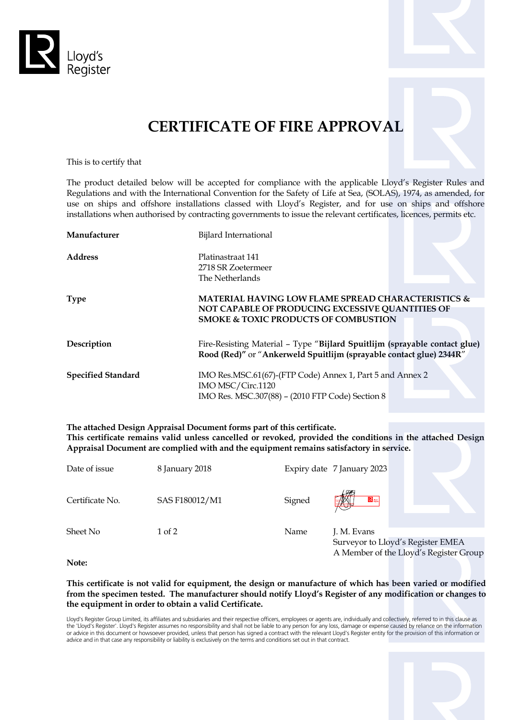



This is to certify that

The product detailed below will be accepted for compliance with the applicable Lloyd's Register Rules and Regulations and with the International Convention for the Safety of Life at Sea, (SOLAS), 1974, as amended, for use on ships and offshore installations classed with Lloyd's Register, and for use on ships and offshore installations when authorised by contracting governments to issue the relevant certificates, licences, permits etc.

| Manufacturer              | Bijlard International                                                                                                                                                |  |
|---------------------------|----------------------------------------------------------------------------------------------------------------------------------------------------------------------|--|
| <b>Address</b>            | Platinastraat 141<br>2718 SR Zoetermeer<br>The Netherlands                                                                                                           |  |
| <b>Type</b>               | <b>MATERIAL HAVING LOW FLAME SPREAD CHARACTERISTICS &amp;</b><br>NOT CAPABLE OF PRODUCING EXCESSIVE QUANTITIES OF<br><b>SMOKE &amp; TOXIC PRODUCTS OF COMBUSTION</b> |  |
| Description               | Fire-Resisting Material - Type "Bijlard Spuitlijm (sprayable contact glue)<br>Rood (Red)" or "Ankerweld Spuitlijm (sprayable contact glue) 2344R"                    |  |
| <b>Specified Standard</b> | IMO Res.MSC.61(67)-(FTP Code) Annex 1, Part 5 and Annex 2<br>IMO MSC/Circ.1120<br>IMO Res. MSC.307(88) - (2010 FTP Code) Section 8                                   |  |

**The attached Design Appraisal Document forms part of this certificate. This certificate remains valid unless cancelled or revoked, provided the conditions in the attached Design Appraisal Document are complied with and the equipment remains satisfactory in service.**

| Date of issue   | 8 January 2018 |        | Expiry date 7 January 2023                                                                 |
|-----------------|----------------|--------|--------------------------------------------------------------------------------------------|
| Certificate No. | SAS F180012/M1 | Signed | R <sub>m</sub><br><u>andan b</u>                                                           |
| Sheet No        | 1 of 2         | Name   | J. M. Evans<br>Surveyor to Lloyd's Register EMEA<br>A Member of the Lloyd's Register Group |

**Note:**

**This certificate is not valid for equipment, the design or manufacture of which has been varied or modified from the specimen tested. The manufacturer should notify Lloyd's Register of any modification or changes to the equipment in order to obtain a valid Certificate.**

Lloyd's Register Group Limited, its affiliates and subsidiaries and their respective officers, employees or agents are, individually and collectively, referred to in this clause as the 'Lloyd's Register'. Lloyd's Register assumes no responsibility and shall not be liable to any person for any loss, damage or expense caused by reliance on the information or advice in this document or howsoever provided, unless that person has signed a contract with the relevant Lloyd's Register entity for the provision of this information or advice and in that case any responsibility or liability is exclusively on the terms and conditions set out in that contract.